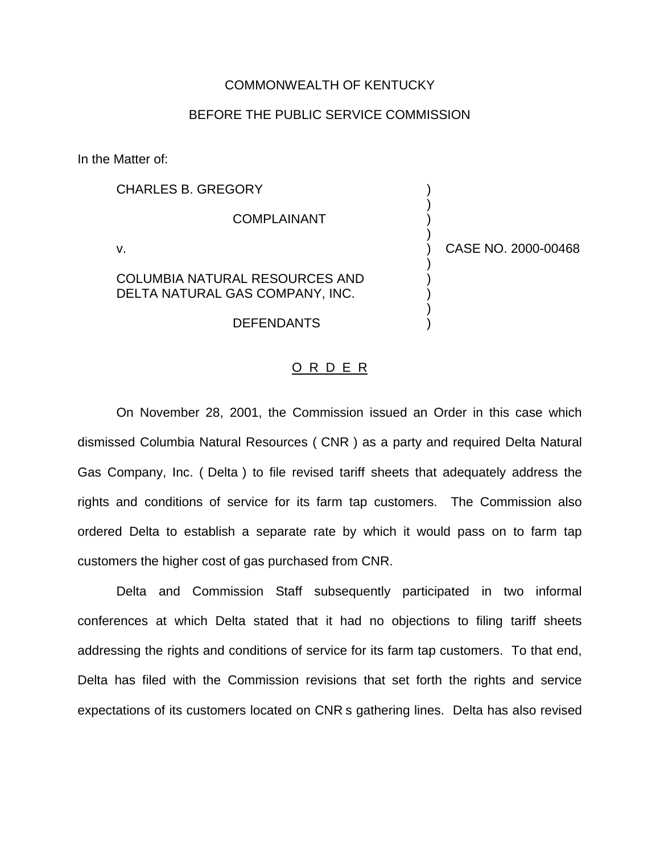## COMMONWEALTH OF KENTUCKY

## BEFORE THE PUBLIC SERVICE COMMISSION

In the Matter of:

COMPLAINANT (1999)

CHARLES B. GREGORY (1999)

COLUMBIA NATURAL RESOURCES AND ) DELTA NATURAL GAS COMPANY, INC.  $|$ 

**DEFENDANTS** 

v. ) CASE NO. 2000-00468

)

)

)

)

## O R D E R

On November 28, 2001, the Commission issued an Order in this case which dismissed Columbia Natural Resources ( CNR ) as a party and required Delta Natural Gas Company, Inc. ( Delta ) to file revised tariff sheets that adequately address the rights and conditions of service for its farm tap customers. The Commission also ordered Delta to establish a separate rate by which it would pass on to farm tap customers the higher cost of gas purchased from CNR.

Delta and Commission Staff subsequently participated in two informal conferences at which Delta stated that it had no objections to filing tariff sheets addressing the rights and conditions of service for its farm tap customers. To that end, Delta has filed with the Commission revisions that set forth the rights and service expectations of its customers located on CNR s gathering lines. Delta has also revised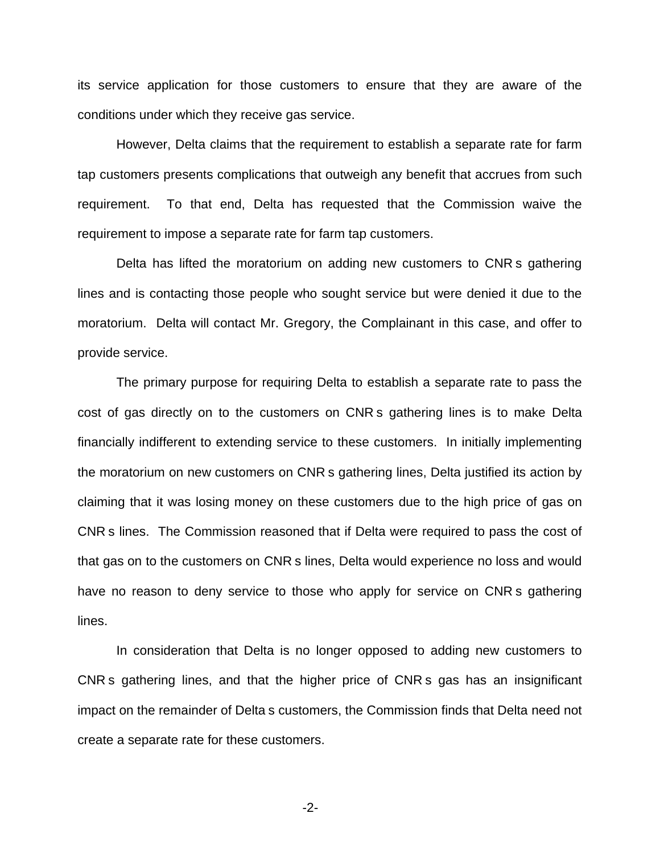its service application for those customers to ensure that they are aware of the conditions under which they receive gas service.

However, Delta claims that the requirement to establish a separate rate for farm tap customers presents complications that outweigh any benefit that accrues from such requirement. To that end, Delta has requested that the Commission waive the requirement to impose a separate rate for farm tap customers.

Delta has lifted the moratorium on adding new customers to CNR s gathering lines and is contacting those people who sought service but were denied it due to the moratorium. Delta will contact Mr. Gregory, the Complainant in this case, and offer to provide service.

The primary purpose for requiring Delta to establish a separate rate to pass the cost of gas directly on to the customers on CNR s gathering lines is to make Delta financially indifferent to extending service to these customers. In initially implementing the moratorium on new customers on CNR s gathering lines, Delta justified its action by claiming that it was losing money on these customers due to the high price of gas on CNR s lines. The Commission reasoned that if Delta were required to pass the cost of that gas on to the customers on CNR s lines, Delta would experience no loss and would have no reason to deny service to those who apply for service on CNR s gathering lines.

In consideration that Delta is no longer opposed to adding new customers to CNR s gathering lines, and that the higher price of CNR s gas has an insignificant impact on the remainder of Delta s customers, the Commission finds that Delta need not create a separate rate for these customers.

-2-